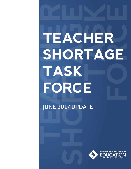# **TEACHER AC**<br> **SHORTAGE**<br>
SHORE **TASK FORCE TEACHER SHORTAGE TASK FORCE**

# JUNE 2017 UPDATE

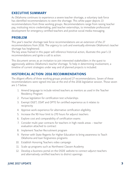# EXECUTIVE SUMMARY

As Oklahoma continues to experience a severe teacher shortage, a voluntary task force has identified recommendations to stem the shortage. This white paper depicts 13 recommendations from three working groups. Recommendations range from raising teacher pay, instituting micro-credentialing, paid teacher externships, to immediate professional development for emergency certified teachers and positive social media messaging.

#### PROBLEM

This year's teacher shortage task force recommendations are an extension of the 27 recommendations from 2016. The urgency to curb and eventually eliminate Oklahoma's teacher shortage has heightened.

The key areas framed in this paper will reference historical action, illustrate this year's 13 recommendations and ignite a call to action.

This document serves as an invitation to join interested stakeholders in the quest to aggressively address Oklahoma's teacher shortage. To help in determining involvement, a timeline of current strategies under way and of planned projects is included.

# HISTORICAL ACTION: 2016 RECOMMENDATIONS

The diligent efforts of three working groups produced 27 recommendations. Seven of these recommendations were signed into law at the end of the 2016 legislative session. Those seven are 1-7 below.

- 1. Amend language to include retired teachers as mentors as used in the Teacher Residency Program
- 2. Pursue legislation for certification test scholarships
- 3. Exempt OGET, OSAT and OPTE for certified experience as it relates to reciprocity
- 4. Approve work experience for alternative certification eligibility
- 5. Increase the 90-hour limit to 270 hours for adjunct teachers
- 6. Explore cost and comparability of certification exams
- 7. Consider multi-year contracts for teachers in high-needs areas teacher evaluation attached to contract
- 8. Implement Teacher Recruitment program
- 9. Partner with State Regents for Higher Education to bring awareness to Teach Oklahoma and loan forgiveness programs
- 10. Establish Honoring Teachers video campaign
- 11. Scale up programs such as Northwest Classen Academy
- 12. Develop a business portal on the OSDE website to connect adjunct teachers and alternatively certified teachers to district openings

#### JUNE 2017 UPDATE **3**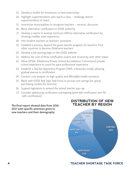- 13. Develop a toolkit for businesses to host externships
- 14. Highlight superintendents who teach a class challenge district superintendents to teach
- 15. Incentivize municipalities to recognize teachers services, discounts
- 16. Move alternative certification to OSDE authority
- 17. Develop a matrix to exempt minimum GPA for alternative certification by showing credible work experience
- 18. Hire student teachers as teachers' assistants
- 19. Establish a process, beyond the guest teacher program, for teachers from other countries to become Oklahoma teachers
- 20. Develop a job-posting page on the OSDE website
- 21. Address the cost of three certification exams and reciprocity with other states
- 22. Allow OPSAC (Oklahoma Private School Accreditation Commission) private school experience to count for para-professional experience
- 23. Establish a Teacher Apprentice Program (TAP), a Kentucky model, allowing gradual avenue to certification
- 24. Conduct cost analysis on high-quality and affordable health insurance
- 25. Work with OSDE Red Tape Task Force to pursue cost savings (ex. group purchasing models for districts)
- 26. Support legislation to amend the retired teacher pay cap
- 27. Consider addressing certification overlapping (preK-6th certification and 7th -12th certification)

#### The final report showed data from 2016- 2017 with specific attention given to new teachers and their demography.



#### **4 TEACHER SHORTAGE TASK FORCE**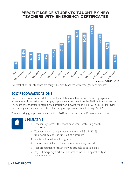# **PERCENTAGE OF STUDENTS TAUGHT BY NEW TEACHERS WITH EMERGENCY CERTIFICATES**



A total of 38,105 students are taught by new teachers with emergency certificates.

# 2017 RECOMMENDATIONS

Two of the 2016 recommendations, implementation of a teacher recruitment program and amendment of the retired teacher pay cap, were carried over into the 2017 legislative session. The teacher recruitment program was officially acknowledged in SB 15 with SB 14 identifying the funding mechanism. The retired teacher pay cap was amended through SB 428.

Three working groups met January – April 2017 and created these 13 recommendations.



#### LEGISLATIVE

- 1. Teacher Pay: Across the board raise while protecting health insurance
- 2. Teacher Leader: change requirements in HB 3114 (2016) framework to address time out of classroom
- 3. Institute donor-funded programs
- 4. Micro-credentialing to focus on non-monetary reward
- 5. Test preparation for teachers who struggle to pass exams
- 6. Adjust Emergency Certification form to include preparation type and credentials

#### JUNE 2017 UPDATE **5**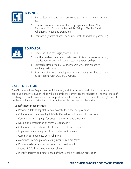

#### **BUSINESS**

- 1. Pilot at least one business-sponsored teacher externship summer 2017
- 2. Promote awareness of incentivized programs such as "What's Right With Our Schools" (channel 4), "Adopt a Teacher" and "Oklahoma Needs and Donations"
- 3. Promote city/state chamber and non-profit foundation partnering



#### EDUCATOR

- 1. Create positive messaging with ED Talks
- 2. Identify barriers for students who want to teach transportation, certification testing and student teaching sponsorships
- 3. Outreach campaign: 35,000 individuals who hold an active teaching certificate
- 4. Provide professional development to emergency certified teachers by partnering with OEA, POE, OPSRC

# CALL-TO-ACTION

The Oklahoma State Department of Education, with interested stakeholders, commits to continue pursuing solutions that will dismantle the current teacher shortage. The awareness of teaching as a noble profession, the support for teachers in the trenches and the recognition of teachers making a positive impact in the lives of children are worthy actions.

#### Specific next steps include

- ► Providing data to legislature to advocate for a teacher pay raise
- $\vee$  Collaboration on amending HB 3114 (16) address time out of classroom
- $\vee$  Communicate campaign for existing donor funded programs
- Design implementation of micro-credentialing
- $\vee$  Collaboratively create certification exam test prep resources
- $\vee$  Implement emergency certification electronic access
- $\vee$  Communicate business externship pilot
- $\triangleright$  Awareness campaign for existing incentivized programs
- $\vee$  Promote existing successful community partnership
- $\vee$  Launch ED Talks via social media blasts
- $\vee$  Identify barriers and meet needs of those seeking teaching profession

# **6 TEACHER SHORTAGE TASK FORCE**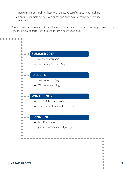- $\vee$  Recruitment outreach to those with an active certificate but not teaching
- ↓ Continue multiple agency awareness and outreach to emergency certified teachers

Those interested in joining this task force and/or aligning to a specific strategy shown in the timeline below contact Robyn Miller at robyn.miller@sde.ok.gov.